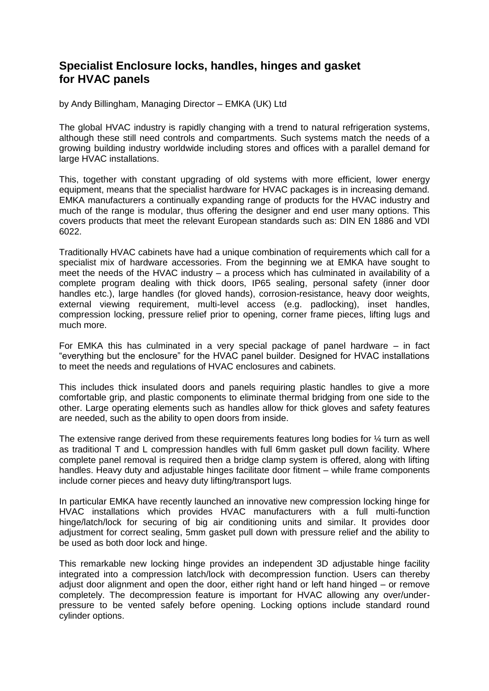## **Specialist Enclosure locks, handles, hinges and gasket for HVAC panels**

by Andy Billingham, Managing Director – EMKA (UK) Ltd

The global HVAC industry is rapidly changing with a trend to natural refrigeration systems, although these still need controls and compartments. Such systems match the needs of a growing building industry worldwide including stores and offices with a parallel demand for large HVAC installations.

This, together with constant upgrading of old systems with more efficient, lower energy equipment, means that the specialist hardware for HVAC packages is in increasing demand. EMKA manufacturers a continually expanding range of products for the HVAC industry and much of the range is modular, thus offering the designer and end user many options. This covers products that meet the relevant European standards such as: DIN EN 1886 and VDI 6022.

Traditionally HVAC cabinets have had a unique combination of requirements which call for a specialist mix of hardware accessories. From the beginning we at EMKA have sought to meet the needs of the HVAC industry – a process which has culminated in availability of a complete program dealing with thick doors, IP65 sealing, personal safety (inner door handles etc.), large handles (for gloved hands), corrosion-resistance, heavy door weights, external viewing requirement, multi-level access (e.g. padlocking), inset handles, compression locking, pressure relief prior to opening, corner frame pieces, lifting lugs and much more.

For EMKA this has culminated in a very special package of panel hardware – in fact "everything but the enclosure" for the HVAC panel builder. Designed for HVAC installations to meet the needs and regulations of HVAC enclosures and cabinets.

This includes thick insulated doors and panels requiring plastic handles to give a more comfortable grip, and plastic components to eliminate thermal bridging from one side to the other. Large operating elements such as handles allow for thick gloves and safety features are needed, such as the ability to open doors from inside.

The extensive range derived from these requirements features long bodies for ¼ turn as well as traditional T and L compression handles with full 6mm gasket pull down facility. Where complete panel removal is required then a bridge clamp system is offered, along with lifting handles. Heavy duty and adjustable hinges facilitate door fitment – while frame components include corner pieces and heavy duty lifting/transport lugs.

In particular EMKA have recently launched an innovative new compression locking hinge for HVAC installations which provides HVAC manufacturers with a full multi-function hinge/latch/lock for securing of big air conditioning units and similar. It provides door adjustment for correct sealing, 5mm gasket pull down with pressure relief and the ability to be used as both door lock and hinge.

This remarkable new locking hinge provides an independent 3D adjustable hinge facility integrated into a compression latch/lock with decompression function. Users can thereby adjust door alignment and open the door, either right hand or left hand hinged – or remove completely. The decompression feature is important for HVAC allowing any over/underpressure to be vented safely before opening. Locking options include standard round cylinder options.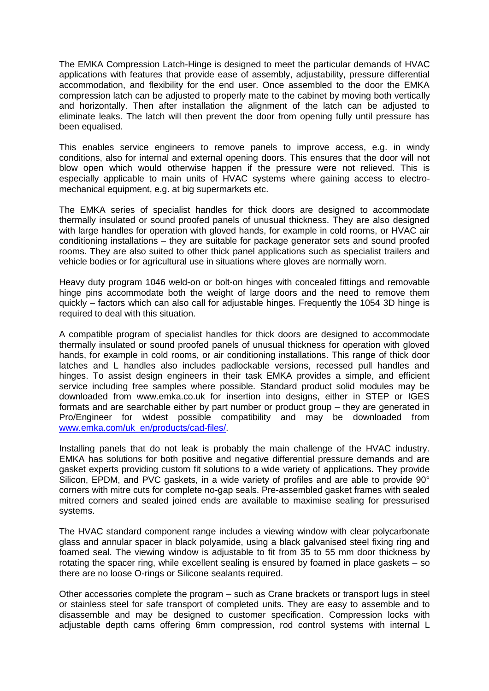The EMKA Compression Latch-Hinge is designed to meet the particular demands of HVAC applications with features that provide ease of assembly, adjustability, pressure differential accommodation, and flexibility for the end user. Once assembled to the door the EMKA compression latch can be adjusted to properly mate to the cabinet by moving both vertically and horizontally. Then after installation the alignment of the latch can be adjusted to eliminate leaks. The latch will then prevent the door from opening fully until pressure has been equalised.

This enables service engineers to remove panels to improve access, e.g. in windy conditions, also for internal and external opening doors. This ensures that the door will not blow open which would otherwise happen if the pressure were not relieved. This is especially applicable to main units of HVAC systems where gaining access to electromechanical equipment, e.g. at big supermarkets etc.

The EMKA series of specialist handles for thick doors are designed to accommodate thermally insulated or sound proofed panels of unusual thickness. They are also designed with large handles for operation with gloved hands, for example in cold rooms, or HVAC air conditioning installations – they are suitable for package generator sets and sound proofed rooms. They are also suited to other thick panel applications such as specialist trailers and vehicle bodies or for agricultural use in situations where gloves are normally worn.

Heavy duty program 1046 weld-on or bolt-on hinges with concealed fittings and removable hinge pins accommodate both the weight of large doors and the need to remove them quickly – factors which can also call for adjustable hinges. Frequently the 1054 3D hinge is required to deal with this situation.

A compatible program of specialist handles for thick doors are designed to accommodate thermally insulated or sound proofed panels of unusual thickness for operation with gloved hands, for example in cold rooms, or air conditioning installations. This range of thick door latches and L handles also includes padlockable versions, recessed pull handles and hinges. To assist design engineers in their task EMKA provides a simple, and efficient service including free samples where possible. Standard product solid modules may be downloaded from www.emka.co.uk for insertion into designs, either in STEP or IGES formats and are searchable either by part number or product group – they are generated in Pro/Engineer for widest possible compatibility and may be downloaded from [www.emka.com/uk\\_en/products/cad-files/.](http://www.emka.com/uk_en/products/cad-files/)

Installing panels that do not leak is probably the main challenge of the HVAC industry. EMKA has solutions for both positive and negative differential pressure demands and are gasket experts providing custom fit solutions to a wide variety of applications. They provide Silicon, EPDM, and PVC gaskets, in a wide variety of profiles and are able to provide 90° corners with mitre cuts for complete no-gap seals. Pre-assembled gasket frames with sealed mitred corners and sealed joined ends are available to maximise sealing for pressurised systems.

The HVAC standard component range includes a viewing window with clear polycarbonate glass and annular spacer in black polyamide, using a black galvanised steel fixing ring and foamed seal. The viewing window is adjustable to fit from 35 to 55 mm door thickness by rotating the spacer ring, while excellent sealing is ensured by foamed in place gaskets – so there are no loose O-rings or Silicone sealants required.

Other accessories complete the program – such as Crane brackets or transport lugs in steel or stainless steel for safe transport of completed units. They are easy to assemble and to disassemble and may be designed to customer specification. Compression locks with adjustable depth cams offering 6mm compression, rod control systems with internal L